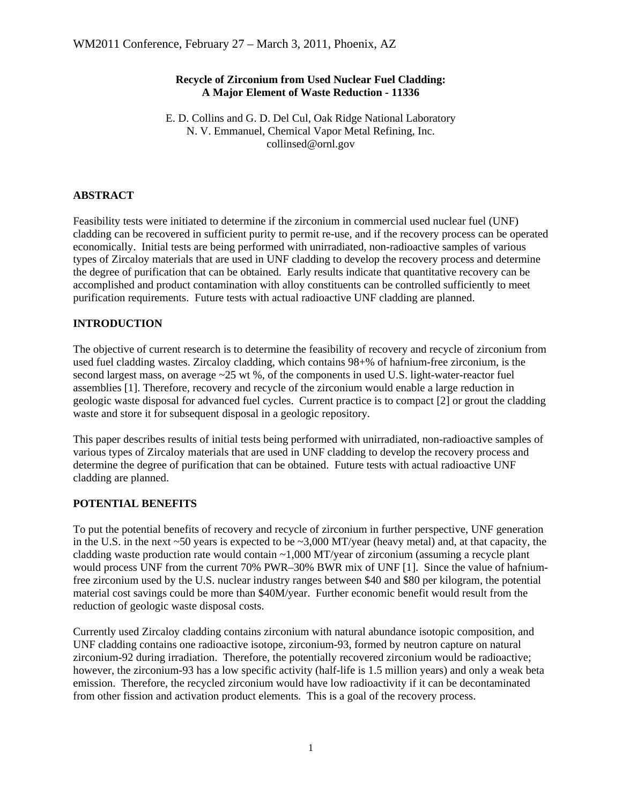#### **Recycle of Zirconium from Used Nuclear Fuel Cladding: A Major Element of Waste Reduction - 11336**

E. D. Collins and G. D. Del Cul, Oak Ridge National Laboratory N. V. Emmanuel, Chemical Vapor Metal Refining, Inc. collinsed@ornl.gov

## **ABSTRACT**

Feasibility tests were initiated to determine if the zirconium in commercial used nuclear fuel (UNF) cladding can be recovered in sufficient purity to permit re-use, and if the recovery process can be operated economically. Initial tests are being performed with unirradiated, non-radioactive samples of various types of Zircaloy materials that are used in UNF cladding to develop the recovery process and determine the degree of purification that can be obtained. Early results indicate that quantitative recovery can be accomplished and product contamination with alloy constituents can be controlled sufficiently to meet purification requirements. Future tests with actual radioactive UNF cladding are planned.

## **INTRODUCTION**

The objective of current research is to determine the feasibility of recovery and recycle of zirconium from used fuel cladding wastes. Zircaloy cladding, which contains 98+% of hafnium-free zirconium, is the second largest mass, on average ~25 wt %, of the components in used U.S. light-water-reactor fuel assemblies [1]. Therefore, recovery and recycle of the zirconium would enable a large reduction in geologic waste disposal for advanced fuel cycles. Current practice is to compact [2] or grout the cladding waste and store it for subsequent disposal in a geologic repository.

This paper describes results of initial tests being performed with unirradiated, non-radioactive samples of various types of Zircaloy materials that are used in UNF cladding to develop the recovery process and determine the degree of purification that can be obtained. Future tests with actual radioactive UNF cladding are planned.

## **POTENTIAL BENEFITS**

To put the potential benefits of recovery and recycle of zirconium in further perspective, UNF generation in the U.S. in the next  $\sim$  50 years is expected to be  $\sim$  3,000 MT/year (heavy metal) and, at that capacity, the cladding waste production rate would contain  $\sim$ 1,000 MT/year of zirconium (assuming a recycle plant would process UNF from the current 70% PWR–30% BWR mix of UNF [1]. Since the value of hafniumfree zirconium used by the U.S. nuclear industry ranges between \$40 and \$80 per kilogram, the potential material cost savings could be more than \$40M/year. Further economic benefit would result from the reduction of geologic waste disposal costs.

Currently used Zircaloy cladding contains zirconium with natural abundance isotopic composition, and UNF cladding contains one radioactive isotope, zirconium-93, formed by neutron capture on natural zirconium-92 during irradiation. Therefore, the potentially recovered zirconium would be radioactive; however, the zirconium-93 has a low specific activity (half-life is 1.5 million years) and only a weak beta emission. Therefore, the recycled zirconium would have low radioactivity if it can be decontaminated from other fission and activation product elements. This is a goal of the recovery process.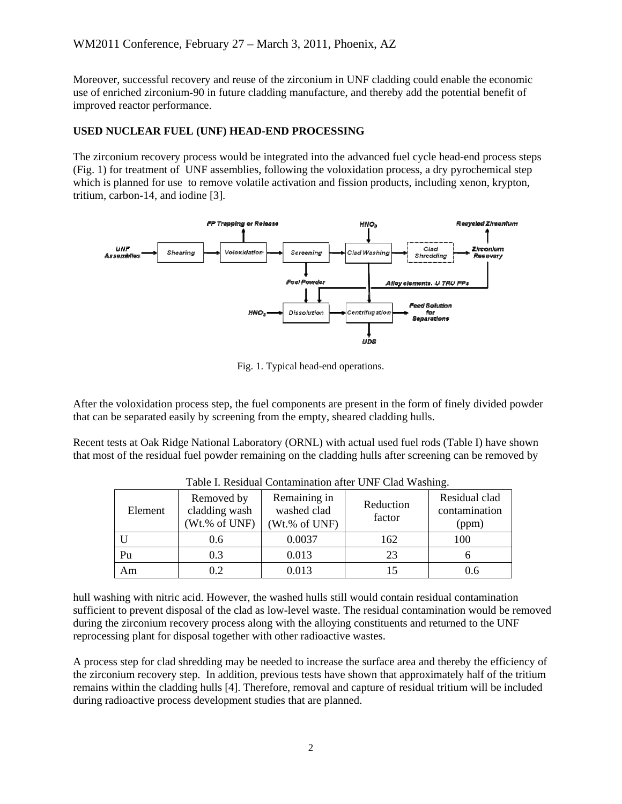Moreover, successful recovery and reuse of the zirconium in UNF cladding could enable the economic use of enriched zirconium-90 in future cladding manufacture, and thereby add the potential benefit of improved reactor performance.

#### **USED NUCLEAR FUEL (UNF) HEAD-END PROCESSING**

The zirconium recovery process would be integrated into the advanced fuel cycle head-end process steps (Fig. 1) for treatment of UNF assemblies, following the voloxidation process, a dry pyrochemical step which is planned for use to remove volatile activation and fission products, including xenon, krypton, tritium, carbon-14, and iodine [3].



Fig. 1. Typical head-end operations.

After the voloxidation process step, the fuel components are present in the form of finely divided powder that can be separated easily by screening from the empty, sheared cladding hulls.

Recent tests at Oak Ridge National Laboratory (ORNL) with actual used fuel rods (Table I) have shown that most of the residual fuel powder remaining on the cladding hulls after screening can be removed by

| Element | Removed by<br>cladding wash<br>(Wt.% of UNF) | Remaining in<br>washed clad<br>Wt.% of UNF) | Reduction<br>factor | Residual clad<br>contamination<br>(ppm) |  |
|---------|----------------------------------------------|---------------------------------------------|---------------------|-----------------------------------------|--|
|         | 0.6                                          | 0.0037                                      | 162                 | 100                                     |  |
| Pu      | 0.3                                          | 0.013                                       | 23                  |                                         |  |
| Am      | 0.2                                          | 0.013                                       |                     | 0.6                                     |  |

Table I. Residual Contamination after UNF Clad Washing.

hull washing with nitric acid. However, the washed hulls still would contain residual contamination sufficient to prevent disposal of the clad as low-level waste. The residual contamination would be removed during the zirconium recovery process along with the alloying constituents and returned to the UNF reprocessing plant for disposal together with other radioactive wastes.

A process step for clad shredding may be needed to increase the surface area and thereby the efficiency of the zirconium recovery step. In addition, previous tests have shown that approximately half of the tritium remains within the cladding hulls [4]. Therefore, removal and capture of residual tritium will be included during radioactive process development studies that are planned.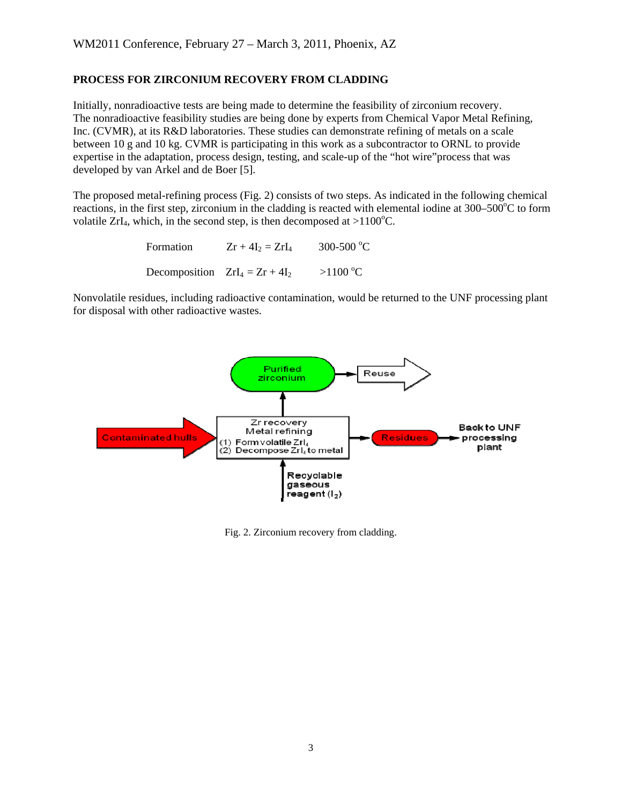#### **PROCESS FOR ZIRCONIUM RECOVERY FROM CLADDING**

Initially, nonradioactive tests are being made to determine the feasibility of zirconium recovery. The nonradioactive feasibility studies are being done by experts from Chemical Vapor Metal Refining, Inc. (CVMR), at its R&D laboratories. These studies can demonstrate refining of metals on a scale between 10 g and 10 kg. CVMR is participating in this work as a subcontractor to ORNL to provide expertise in the adaptation, process design, testing, and scale-up of the "hot wire"process that was developed by van Arkel and de Boer [5].

The proposed metal-refining process (Fig. 2) consists of two steps. As indicated in the following chemical reactions, in the first step, zirconium in the cladding is reacted with elemental iodine at 300–500°C to form volatile ZrI<sub>4</sub>, which, in the second step, is then decomposed at >1100°C.

| Formation                         | $Zr + 4I_2 = ZrI_4$ | 300-500 °C |
|-----------------------------------|---------------------|------------|
| Decomposition $ZrI_4 = Zr + 4I_2$ |                     | $>1100$ °C |

Nonvolatile residues, including radioactive contamination, would be returned to the UNF processing plant for disposal with other radioactive wastes.



Fig. 2. Zirconium recovery from cladding.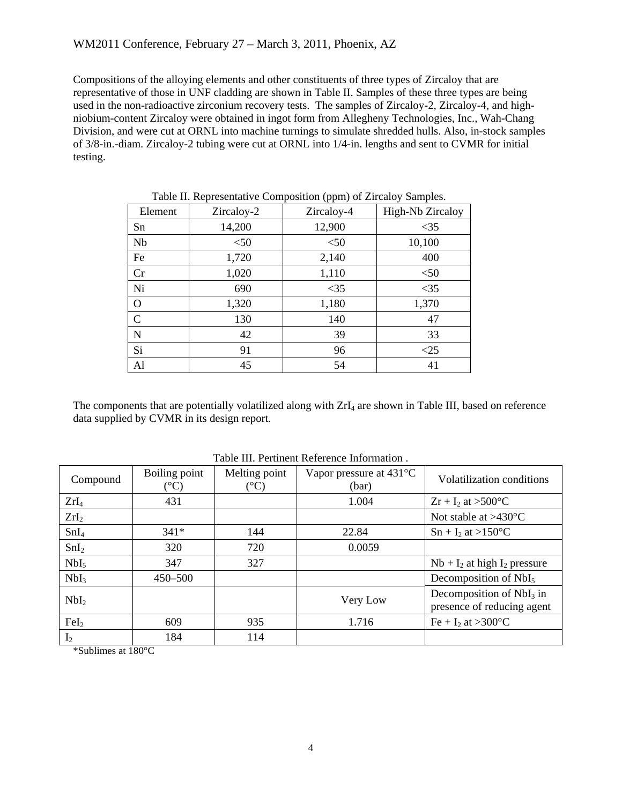Compositions of the alloying elements and other constituents of three types of Zircaloy that are representative of those in UNF cladding are shown in Table II. Samples of these three types are being used in the non-radioactive zirconium recovery tests. The samples of Zircaloy-2, Zircaloy-4, and highniobium-content Zircaloy were obtained in ingot form from Allegheny Technologies, Inc., Wah-Chang Division, and were cut at ORNL into machine turnings to simulate shredded hulls. Also, in-stock samples of 3/8-in.-diam. Zircaloy-2 tubing were cut at ORNL into 1/4-in. lengths and sent to CVMR for initial testing.

| radio in Representative composition (ppm) or Encare y Bampies. |            |            |                  |  |  |  |
|----------------------------------------------------------------|------------|------------|------------------|--|--|--|
| Element                                                        | Zircaloy-2 | Zircaloy-4 | High-Nb Zircaloy |  |  |  |
| Sn                                                             | 14,200     | 12,900     | $<$ 35           |  |  |  |
| Nb                                                             | $<$ 50     | < 50       | 10,100           |  |  |  |
| Fe                                                             | 1,720      | 2,140      | 400              |  |  |  |
| Cr                                                             | 1,020      | 1,110      | < 50             |  |  |  |
| Ni                                                             | 690        | $<$ 35     | $<$ 35           |  |  |  |
| $\mathbf{O}$                                                   | 1,320      | 1,180      | 1,370            |  |  |  |
| $\mathbf C$                                                    | 130        | 140        | 47               |  |  |  |
| N                                                              | 42         | 39         | 33               |  |  |  |
| Si                                                             | 91         | 96         | $<$ 25           |  |  |  |
| Al                                                             | 45         | 54         | 41               |  |  |  |

Table II. Representative Composition (ppm) of Zircaloy Samples.

The components that are potentially volatilized along with  $ZrI_4$  are shown in Table III, based on reference data supplied by CVMR in its design report.

| Compound         | Boiling point<br>$({}^{\circ}C)$ | Melting point<br>$(^\circ C)$ | Vapor pressure at $431^{\circ}$ C<br>(bar) | Volatilization conditions                                |
|------------------|----------------------------------|-------------------------------|--------------------------------------------|----------------------------------------------------------|
| $ZrI_4$          | 431                              |                               | 1.004                                      | $Zr + I_2$ at >500°C                                     |
| ZrI <sub>2</sub> |                                  |                               |                                            | Not stable at $>430^{\circ}$ C                           |
| SnI <sub>4</sub> | $341*$                           | 144                           | 22.84                                      | $Sn + I_2$ at >150°C                                     |
| SnI <sub>2</sub> | 320                              | 720                           | 0.0059                                     |                                                          |
| NbI <sub>5</sub> | 347                              | 327                           |                                            | $Nb + I_2$ at high $I_2$ pressure                        |
| NbI <sub>3</sub> | 450–500                          |                               |                                            | Decomposition of $NbI5$                                  |
| NbI <sub>2</sub> |                                  |                               | Very Low                                   | Decomposition of $NbI3$ in<br>presence of reducing agent |
| FeI <sub>2</sub> | 609                              | 935                           | 1.716                                      | Fe + I <sub>2</sub> at >300 $^{\circ}$ C                 |
| I <sub>2</sub>   | 184                              | 114                           |                                            |                                                          |

Table III. Pertinent Reference Information .

\*Sublimes at 180°C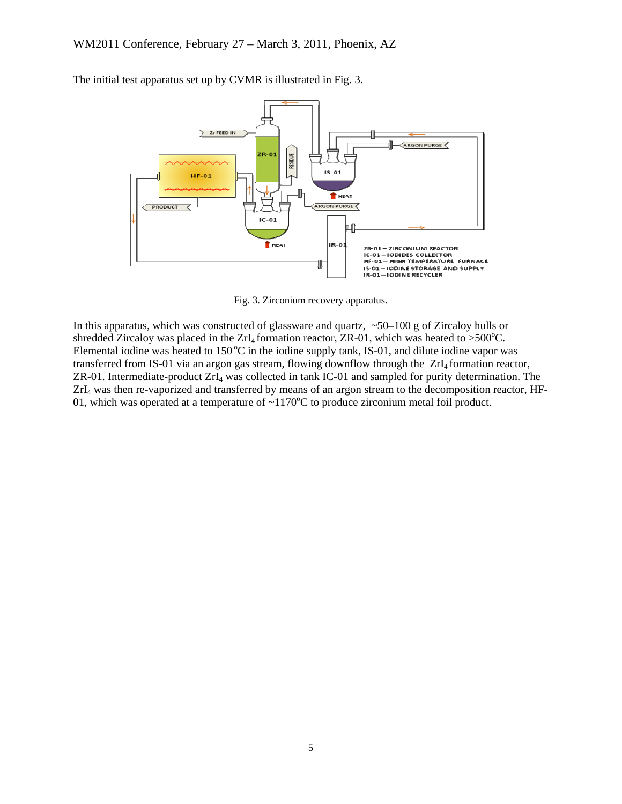

The initial test apparatus set up by CVMR is illustrated in Fig. 3.

Fig. 3. Zirconium recovery apparatus.

In this apparatus, which was constructed of glassware and quartz,  $\sim$ 50–100 g of Zircaloy hulls or shredded Zircaloy was placed in the ZrI<sub>4</sub> formation reactor, ZR-01, which was heated to >500°C. Elemental iodine was heated to  $150^{\circ}$ C in the iodine supply tank, IS-01, and dilute iodine vapor was transferred from IS-01 via an argon gas stream, flowing downflow through the ZrI<sub>4</sub> formation reactor, ZR-01. Intermediate-product ZrI4 was collected in tank IC-01 and sampled for purity determination. The ZrI4 was then re-vaporized and transferred by means of an argon stream to the decomposition reactor, HF-01, which was operated at a temperature of  $\sim$ 1170°C to produce zirconium metal foil product.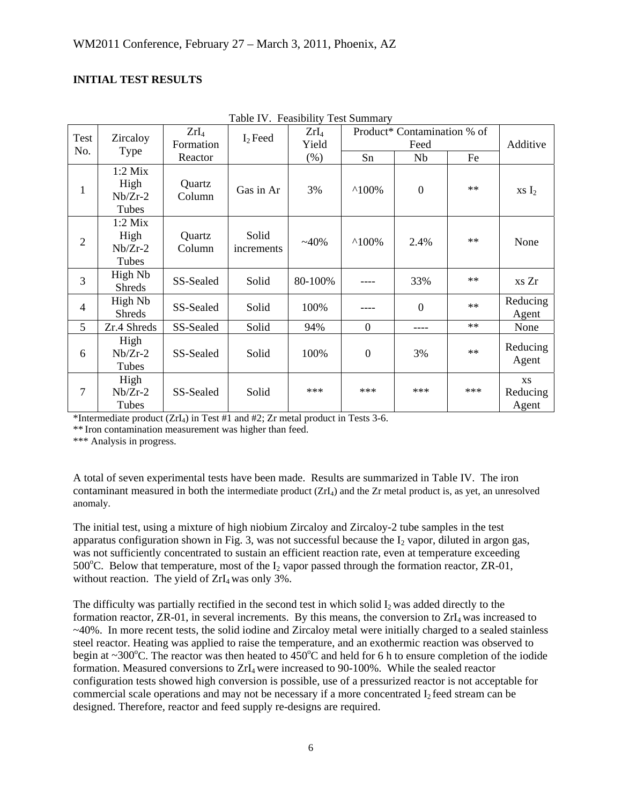#### **INITIAL TEST RESULTS**

| raoic IV. I casionity Test Dummary |                 |           |            |                  |                             |                  |      |                   |
|------------------------------------|-----------------|-----------|------------|------------------|-----------------------------|------------------|------|-------------------|
| Test                               | <b>Zircaloy</b> | $ZrI_4$   | $I_2$ Feed | ZrI <sub>4</sub> | Product* Contamination % of |                  |      |                   |
| No.                                |                 | Formation |            |                  | Yield<br>Feed               |                  |      | Additive          |
|                                    | <b>Type</b>     | Reactor   |            | (% )             | Sn                          | Nb               | Fe   |                   |
|                                    | $1:2$ Mix       |           |            |                  |                             |                  |      |                   |
| $\mathbf{1}$                       | High            | Quartz    | Gas in Ar  | 3%               | $^{\wedge}100\%$            | $\boldsymbol{0}$ | $**$ | xs I <sub>2</sub> |
|                                    | $Nb/Zr-2$       | Column    |            |                  |                             |                  |      |                   |
|                                    | Tubes           |           |            |                  |                             |                  |      |                   |
|                                    | $1:2$ Mix       |           |            |                  |                             |                  |      |                   |
| $\overline{2}$                     | High            | Quartz    | Solid      | $~140\%$         | $^{\wedge}100\%$            | 2.4%             | $**$ | None              |
|                                    | $Nb/Zr-2$       | Column    | increments |                  |                             |                  |      |                   |
|                                    | Tubes           |           |            |                  |                             |                  |      |                   |
| 3                                  | High Nb         | SS-Sealed | Solid      | 80-100%          |                             | 33%              | $**$ | xs Zr             |
|                                    | <b>Shreds</b>   |           |            |                  |                             |                  |      |                   |
| $\overline{4}$                     | High Nb         | SS-Sealed | Solid      | 100%             |                             | $\boldsymbol{0}$ | $**$ | Reducing          |
|                                    | <b>Shreds</b>   |           |            |                  |                             |                  |      | Agent             |
| $\mathfrak{S}$                     | Zr.4 Shreds     | SS-Sealed | Solid      | 94%              | $\overline{0}$              | ----             | $**$ | None              |
|                                    | High            |           |            |                  |                             |                  |      |                   |
| 6                                  | $Nb/Zr-2$       | SS-Sealed | Solid      | 100%             | $\overline{0}$              | 3%               | $**$ | Reducing          |
|                                    | Tubes           |           |            |                  |                             |                  |      | Agent             |
|                                    | High            |           |            |                  |                             |                  |      | <b>XS</b>         |
| 7                                  | $Nb/Zr-2$       | SS-Sealed | Solid      | $***$            | $***$                       | ***              | ***  | Reducing          |
|                                    | Tubes           |           |            |                  |                             |                  |      | Agent             |

Table IV. Feasibility Test Summary

\*Intermediate product  $(ZrI_4)$  in Test #1 and #2; Zr metal product in Tests 3-6.

\*\* Iron contamination measurement was higher than feed.

\*\*\* Analysis in progress.

A total of seven experimental tests have been made. Results are summarized in Table IV. The iron contaminant measured in both the intermediate product (ZrI4) and the Zr metal product is, as yet, an unresolved anomaly.

The initial test, using a mixture of high niobium Zircaloy and Zircaloy-2 tube samples in the test apparatus configuration shown in Fig. 3, was not successful because the  $I_2$  vapor, diluted in argon gas, was not sufficiently concentrated to sustain an efficient reaction rate, even at temperature exceeding 500°C. Below that temperature, most of the  $I_2$  vapor passed through the formation reactor, ZR-01, without reaction. The yield of  $ZrI_4$  was only 3%.

The difficulty was partially rectified in the second test in which solid I<sub>2</sub> was added directly to the formation reactor,  $ZR-01$ , in several increments. By this means, the conversion to  $ZrI_4$  was increased to  $\sim$ 40%. In more recent tests, the solid iodine and Zircaloy metal were initially charged to a sealed stainless steel reactor. Heating was applied to raise the temperature, and an exothermic reaction was observed to begin at ~300°C. The reactor was then heated to  $\overline{450}^{\circ}$ C and held for 6 h to ensure completion of the iodide formation. Measured conversions to ZrI4 were increased to 90-100%. While the sealed reactor configuration tests showed high conversion is possible, use of a pressurized reactor is not acceptable for commercial scale operations and may not be necessary if a more concentrated  $I_2$  feed stream can be designed. Therefore, reactor and feed supply re-designs are required.